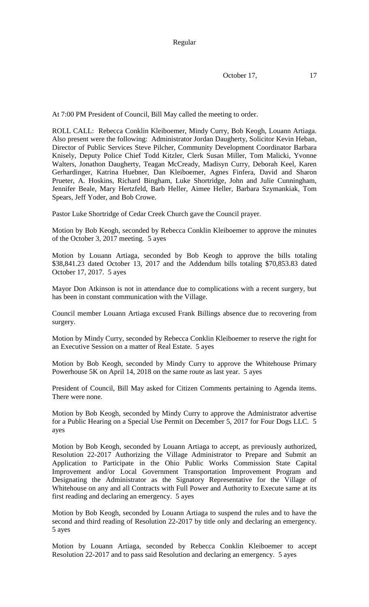October 17, 17

At 7:00 PM President of Council, Bill May called the meeting to order.

ROLL CALL: Rebecca Conklin Kleiboemer, Mindy Curry, Bob Keogh, Louann Artiaga. Also present were the following: Administrator Jordan Daugherty, Solicitor Kevin Heban, Director of Public Services Steve Pilcher, Community Development Coordinator Barbara Knisely, Deputy Police Chief Todd Kitzler, Clerk Susan Miller, Tom Malicki, Yvonne Walters, Jonathon Daugherty, Teagan McCready, Madisyn Curry, Deborah Keel, Karen Gerhardinger, Katrina Huebner, Dan Kleiboemer, Agnes Finfera, David and Sharon Prueter, A. Hoskins, Richard Bingham, Luke Shortridge, John and Julie Cunningham, Jennifer Beale, Mary Hertzfeld, Barb Heller, Aimee Heller, Barbara Szymankiak, Tom Spears, Jeff Yoder, and Bob Crowe.

Pastor Luke Shortridge of Cedar Creek Church gave the Council prayer.

Motion by Bob Keogh, seconded by Rebecca Conklin Kleiboemer to approve the minutes of the October 3, 2017 meeting. 5 ayes

Motion by Louann Artiaga, seconded by Bob Keogh to approve the bills totaling \$38,841.23 dated October 13, 2017 and the Addendum bills totaling \$70,853.83 dated October 17, 2017. 5 ayes

Mayor Don Atkinson is not in attendance due to complications with a recent surgery, but has been in constant communication with the Village.

Council member Louann Artiaga excused Frank Billings absence due to recovering from surgery.

Motion by Mindy Curry, seconded by Rebecca Conklin Kleiboemer to reserve the right for an Executive Session on a matter of Real Estate. 5 ayes

Motion by Bob Keogh, seconded by Mindy Curry to approve the Whitehouse Primary Powerhouse 5K on April 14, 2018 on the same route as last year. 5 ayes

President of Council, Bill May asked for Citizen Comments pertaining to Agenda items. There were none.

Motion by Bob Keogh, seconded by Mindy Curry to approve the Administrator advertise for a Public Hearing on a Special Use Permit on December 5, 2017 for Four Dogs LLC. 5 ayes

Motion by Bob Keogh, seconded by Louann Artiaga to accept, as previously authorized, Resolution 22-2017 Authorizing the Village Administrator to Prepare and Submit an Application to Participate in the Ohio Public Works Commission State Capital Improvement and/or Local Government Transportation Improvement Program and Designating the Administrator as the Signatory Representative for the Village of Whitehouse on any and all Contracts with Full Power and Authority to Execute same at its first reading and declaring an emergency. 5 ayes

Motion by Bob Keogh, seconded by Louann Artiaga to suspend the rules and to have the second and third reading of Resolution 22-2017 by title only and declaring an emergency. 5 ayes

Motion by Louann Artiaga, seconded by Rebecca Conklin Kleiboemer to accept Resolution 22-2017 and to pass said Resolution and declaring an emergency. 5 ayes